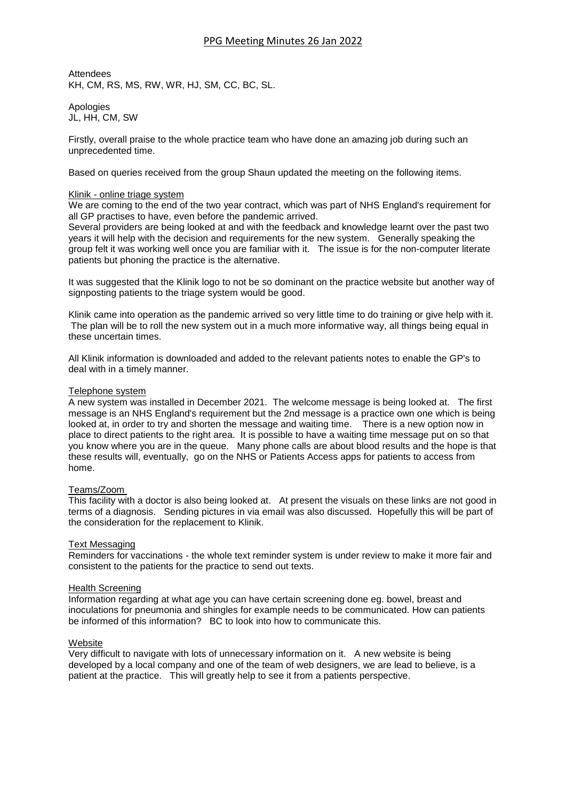# PPG Meeting Minutes 26 Jan 2022

**Attendees** KH, CM, RS, MS, RW, WR, HJ, SM, CC, BC, SL.

Apologies JL, HH, CM, SW

Firstly, overall praise to the whole practice team who have done an amazing job during such an unprecedented time.

Based on queries received from the group Shaun updated the meeting on the following items.

#### Klinik - online triage system

We are coming to the end of the two year contract, which was part of NHS England's requirement for all GP practises to have, even before the pandemic arrived.

Several providers are being looked at and with the feedback and knowledge learnt over the past two years it will help with the decision and requirements for the new system. Generally speaking the group felt it was working well once you are familiar with it. The issue is for the non-computer literate patients but phoning the practice is the alternative.

It was suggested that the Klinik logo to not be so dominant on the practice website but another way of signposting patients to the triage system would be good.

Klinik came into operation as the pandemic arrived so very little time to do training or give help with it. The plan will be to roll the new system out in a much more informative way, all things being equal in these uncertain times.

All Klinik information is downloaded and added to the relevant patients notes to enable the GP's to deal with in a timely manner.

#### Telephone system

A new system was installed in December 2021. The welcome message is being looked at. The first message is an NHS England's requirement but the 2nd message is a practice own one which is being looked at, in order to try and shorten the message and waiting time. There is a new option now in place to direct patients to the right area. It is possible to have a waiting time message put on so that you know where you are in the queue. Many phone calls are about blood results and the hope is that these results will, eventually, go on the NHS or Patients Access apps for patients to access from home.

#### Teams/Zoom

This facility with a doctor is also being looked at. At present the visuals on these links are not good in terms of a diagnosis. Sending pictures in via email was also discussed. Hopefully this will be part of the consideration for the replacement to Klinik.

#### Text Messaging

Reminders for vaccinations - the whole text reminder system is under review to make it more fair and consistent to the patients for the practice to send out texts.

#### Health Screening

Information regarding at what age you can have certain screening done eg. bowel, breast and inoculations for pneumonia and shingles for example needs to be communicated. How can patients be informed of this information? BC to look into how to communicate this.

#### **Website**

Very difficult to navigate with lots of unnecessary information on it. A new website is being developed by a local company and one of the team of web designers, we are lead to believe, is a patient at the practice. This will greatly help to see it from a patients perspective.